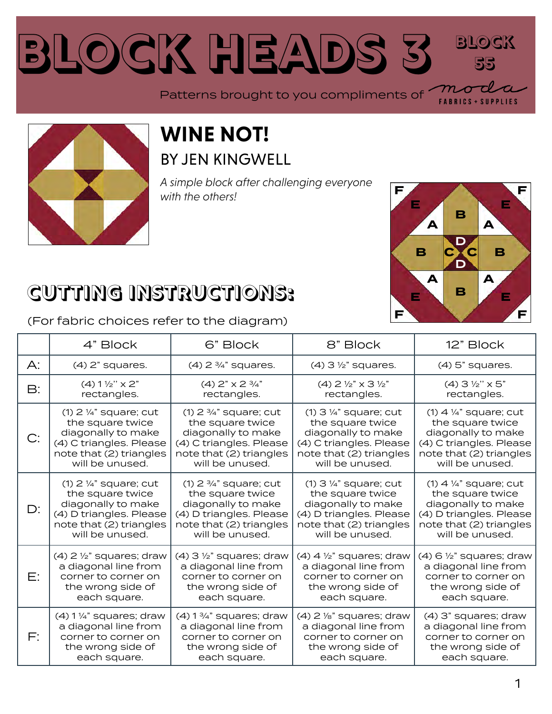### **Block Heads [3](https://modafabrics.com) Block 55** Patterns brought to you compliments of



#### **WINE NOT!** BY JEN KINGWELL

*A simple block after challenging everyone with the others!*



**FABRICS + SUPPLIES** 

## **CUTTING INSTRUCTIONS:**

(For fabric choices refer to the diagram)

|       | 4" Block                              | 6" Block                              | 8" Block                                    | 12" Block                             |
|-------|---------------------------------------|---------------------------------------|---------------------------------------------|---------------------------------------|
| $A$ : | $(4)$ 2" squares.                     | $(4)$ 2 $\frac{3}{4}$ " squares.      | $(4)$ 3 $\frac{1}{2}$ " squares.            | $(4)$ 5" squares.                     |
| B:    | $(4) 1 \frac{1}{2}$ " x 2"            | (4) $2" \times 2 \frac{3}{4"$         | $(4)$ 2 $\frac{1}{2}$ " x 3 $\frac{1}{2}$ " | $(4)$ 3 $\frac{1}{2}$ " x 5"          |
|       | rectangles.                           | rectangles.                           | rectangles.                                 | rectangles.                           |
| C:    | $(1)$ 2 $\frac{1}{4}$ " square; cut   | $(1)$ 2 $\frac{3}{4}$ " square; cut   | $(1)$ 3 $\frac{1}{4}$ " square; cut         | $(1)$ 4 1/4" square; cut              |
|       | the square twice                      | the square twice                      | the square twice                            | the square twice                      |
|       | diagonally to make                    | diagonally to make                    | diagonally to make                          | diagonally to make                    |
|       | (4) C triangles. Please               | (4) C triangles. Please               | (4) C triangles. Please                     | (4) C triangles. Please               |
|       | note that (2) triangles               | note that (2) triangles               | note that (2) triangles                     | note that (2) triangles               |
|       | will be unused.                       | will be unused.                       | will be unused.                             | will be unused.                       |
| D:    | $(1)$ 2 $\frac{1}{4}$ " square; cut   | $(1)$ 2 $\frac{3}{4}$ " square; cut   | $(1)$ 3 1/4" square; cut                    | $(1)$ 4 $\frac{1}{4}$ " square; cut   |
|       | the square twice                      | the square twice                      | the square twice                            | the square twice                      |
|       | diagonally to make                    | diagonally to make                    | diagonally to make                          | diagonally to make                    |
|       | (4) D triangles. Please               | (4) D triangles. Please               | (4) D triangles. Please                     | (4) D triangles. Please               |
|       | note that (2) triangles               | note that (2) triangles               | note that (2) triangles                     | note that (2) triangles               |
|       | will be unused.                       | will be unused.                       | will be unused.                             | will be unused.                       |
| E:    | $(4)$ 2 $\frac{1}{2}$ " squares; draw | $(4)$ 3 $\frac{1}{2}$ " squares; draw | $(4)$ 4 $\frac{1}{2}$ " squares; draw       | $(4)$ 6 $\frac{1}{2}$ " squares; draw |
|       | a diagonal line from                  | a diagonal line from                  | a diagonal line from                        | a diagonal line from                  |
|       | corner to corner on                   | corner to corner on                   | corner to corner on                         | corner to corner on                   |
|       | the wrong side of                     | the wrong side of                     | the wrong side of                           | the wrong side of                     |
|       | each square.                          | each square.                          | each square.                                | each square.                          |
| F:    | $(4)$ 1 $\frac{1}{4}$ " squares; draw | $(4)$ 1 $\frac{3}{4}$ " squares; draw | $(4)$ 2 $\frac{1}{8}$ " squares; draw       | (4) 3" squares; draw                  |
|       | a diagonal line from                  | a diagonal line from                  | a diagonal line from                        | a diagonal line from                  |
|       | corner to corner on                   | corner to corner on                   | corner to corner on                         | corner to corner on                   |
|       | the wrong side of                     | the wrong side of                     | the wrong side of                           | the wrong side of                     |
|       | each square.                          | each square.                          | each square.                                | each square.                          |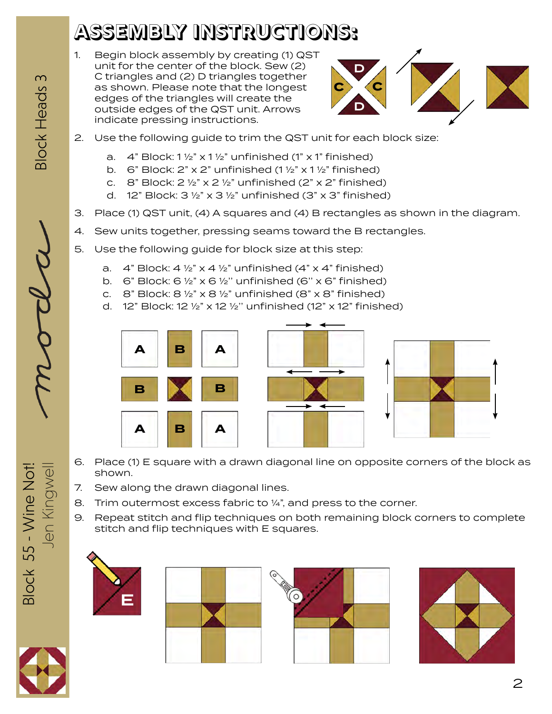# **ASSEMBLY INSTRUCTIONS:**

1. Begin block assembly by creating (1) QST unit for the center of the block. Sew (2) C triangles and (2) D triangles together as shown. Please note that the longest edges of the triangles will create the outside edges of the QST unit. Arrows indicate pressing instructions.



- 2. Use the following guide to trim the QST unit for each block size:
	- a.  $4$ " Block:  $1\frac{1}{2}$ " x  $1\frac{1}{2}$ " unfinished (1" x 1" finished)
	- b. 6" Block:  $2$ " x  $2$ " unfinished (1  $\frac{1}{2}$ " x 1  $\frac{1}{2}$ " finished)
	- c. 8" Block:  $2 \frac{1}{2}$ " x  $2 \frac{1}{2}$ " unfinished ( $2$ " x  $2$ " finished)
	- d. 12" Block:  $3\frac{1}{2}$ " x  $3\frac{1}{2}$ " unfinished (3" x 3" finished)
- 3. Place (1) QST unit, (4) A squares and (4) B rectangles as shown in the diagram.
- 4. Sew units together, pressing seams toward the B rectangles.
- 5. Use the following guide for block size at this step:
	- a.  $4$ " Block:  $4\frac{1}{2}$ " x  $4\frac{1}{2}$ " unfinished ( $4$ " x  $4$ " finished)
	- b. 6" Block:  $6\frac{1}{2}$ " x  $6\frac{1}{2}$ " unfinished (6" x 6" finished)
	- c.  $8$ " Block:  $8\frac{1}{2}$ " x  $8\frac{1}{2}$ " unfinished ( $8$ " x  $8$ " finished)
	- d. 12" Block: 12 ½" x 12 ½'' unfinished (12" x 12" finished)



- 6. Place (1) E square with a drawn diagonal line on opposite corners of the block as shown.
- 7. Sew along the drawn diagonal lines.
- 8. Trim outermost excess fabric to ¼", and press to the corner.
- 9. Repeat stitch and flip techniques on both remaining block corners to complete stitch and flip techniques with E squares.













Block 55 - Wine Not! Jen Kingwel 3lock 55 - Wine Not